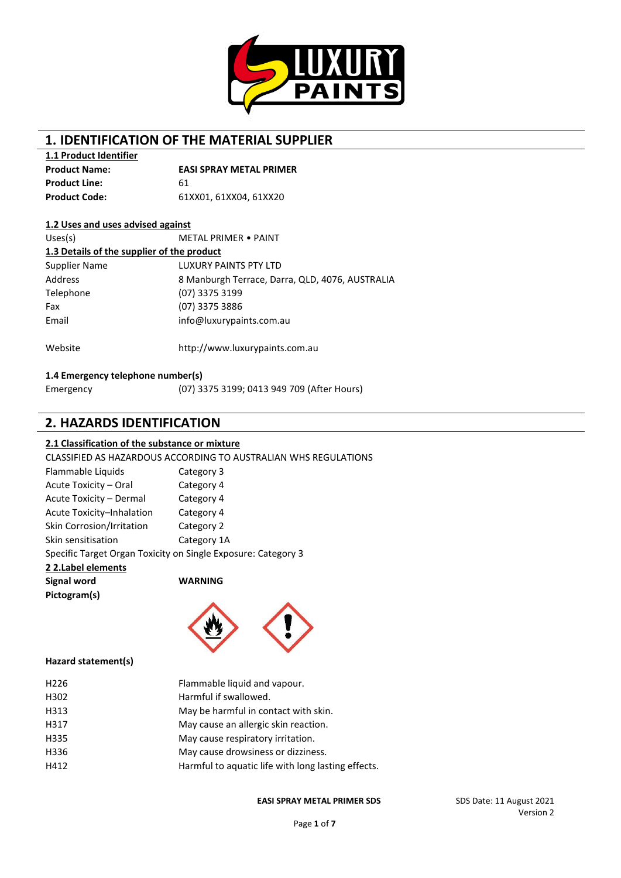

# **1. IDENTIFICATION OF THE MATERIAL SUPPLIER**

**1.1 Product Identifier**

| <b>Product Name:</b> | <b>EASI SPRAY METAL PRIMER</b> |
|----------------------|--------------------------------|
| <b>Product Line:</b> | 61                             |
| Product Code:        | 61XX01.61XX04.61XX20           |

#### **1.2 Uses and uses advised against**

| Uses(s)                                    | <b>METAL PRIMER • PAINT</b>                     |  |  |  |
|--------------------------------------------|-------------------------------------------------|--|--|--|
| 1.3 Details of the supplier of the product |                                                 |  |  |  |
| Supplier Name                              | <b>LUXURY PAINTS PTY LTD</b>                    |  |  |  |
| Address                                    | 8 Manburgh Terrace, Darra, QLD, 4076, AUSTRALIA |  |  |  |
| Telephone                                  | (07) 3375 3199                                  |  |  |  |
| Fax                                        | (07) 3375 3886                                  |  |  |  |
| Email                                      | info@luxurypaints.com.au                        |  |  |  |
| Website                                    | http://www.luxurypaints.com.au                  |  |  |  |

### **1.4 Emergency telephone number(s)**

| Emergency | (07) 3375 3199; 0413 949 709 (After Hours) |
|-----------|--------------------------------------------|
|           |                                            |

## **2. HAZARDS IDENTIFICATION**

#### **2.1 Classification of the substance or mixture**

CLASSIFIED AS HAZARDOUS ACCORDING TO AUSTRALIAN WHS REGULATIONS

| Flammable Liquids                                             | Category 3  |
|---------------------------------------------------------------|-------------|
| Acute Toxicity - Oral                                         | Category 4  |
| Acute Toxicity - Dermal                                       | Category 4  |
| Acute Toxicity-Inhalation                                     | Category 4  |
| Skin Corrosion/Irritation                                     | Category 2  |
| Skin sensitisation                                            | Category 1A |
| Specific Target Organ Toxicity on Single Exposure: Category 3 |             |

### **2 2.Label elements Signal word WARNING Pictogram(s)**



#### **Hazard statement(s)**

| H <sub>226</sub> | Flammable liquid and vapour.                       |
|------------------|----------------------------------------------------|
| H302             | Harmful if swallowed.                              |
| H313             | May be harmful in contact with skin.               |
| H317             | May cause an allergic skin reaction.               |
| H335             | May cause respiratory irritation.                  |
| H336             | May cause drowsiness or dizziness.                 |
| H412             | Harmful to aquatic life with long lasting effects. |
|                  |                                                    |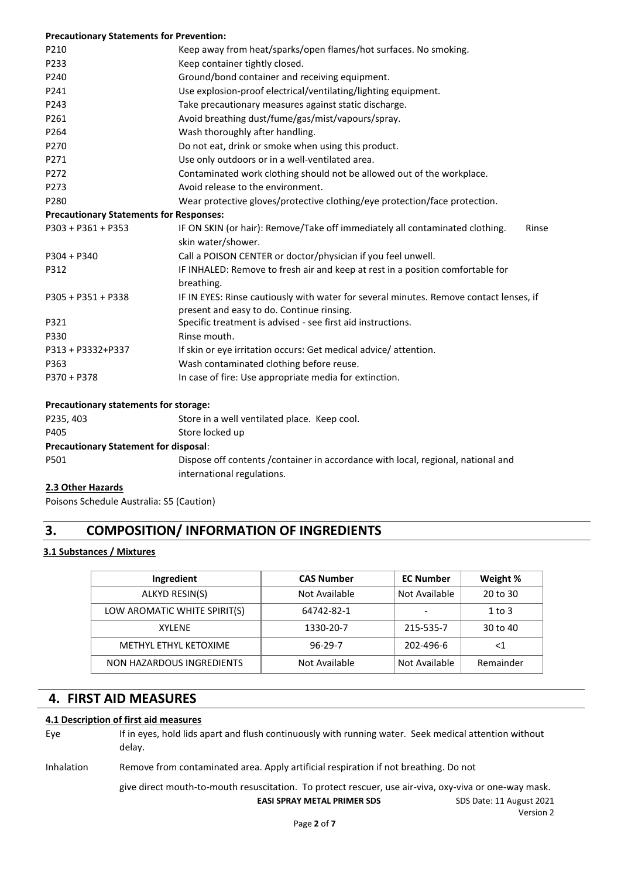| <b>Precautionary Statements for Prevention:</b> |                                                                                                                                     |
|-------------------------------------------------|-------------------------------------------------------------------------------------------------------------------------------------|
| P210                                            | Keep away from heat/sparks/open flames/hot surfaces. No smoking.                                                                    |
| P233                                            | Keep container tightly closed.                                                                                                      |
| P240                                            | Ground/bond container and receiving equipment.                                                                                      |
| P241                                            | Use explosion-proof electrical/ventilating/lighting equipment.                                                                      |
| P243                                            | Take precautionary measures against static discharge.                                                                               |
| P261                                            | Avoid breathing dust/fume/gas/mist/vapours/spray.                                                                                   |
| P264                                            | Wash thoroughly after handling.                                                                                                     |
| P270                                            | Do not eat, drink or smoke when using this product.                                                                                 |
| P271                                            | Use only outdoors or in a well-ventilated area.                                                                                     |
| P272                                            | Contaminated work clothing should not be allowed out of the workplace.                                                              |
| P273                                            | Avoid release to the environment.                                                                                                   |
| P280                                            | Wear protective gloves/protective clothing/eye protection/face protection.                                                          |
| <b>Precautionary Statements for Responses:</b>  |                                                                                                                                     |
| $P303 + P361 + P353$                            | IF ON SKIN (or hair): Remove/Take off immediately all contaminated clothing.<br>Rinse<br>skin water/shower.                         |
| $P304 + P340$                                   | Call a POISON CENTER or doctor/physician if you feel unwell.                                                                        |
| P312                                            | IF INHALED: Remove to fresh air and keep at rest in a position comfortable for<br>breathing.                                        |
| P305 + P351 + P338                              | IF IN EYES: Rinse cautiously with water for several minutes. Remove contact lenses, if<br>present and easy to do. Continue rinsing. |
| P321                                            | Specific treatment is advised - see first aid instructions.                                                                         |
| P330                                            | Rinse mouth.                                                                                                                        |
| P313 + P3332+P337                               | If skin or eye irritation occurs: Get medical advice/attention.                                                                     |
| P363                                            | Wash contaminated clothing before reuse.                                                                                            |
| $P370 + P378$                                   | In case of fire: Use appropriate media for extinction.                                                                              |

#### **Precautionary statements for storage:**

| P235, 403                                    | Store in a well ventilated place. Keep cool.                                                                    |
|----------------------------------------------|-----------------------------------------------------------------------------------------------------------------|
| P405                                         | Store locked up                                                                                                 |
| <b>Precautionary Statement for disposal:</b> |                                                                                                                 |
| P501                                         | Dispose off contents / container in accordance with local, regional, national and<br>international regulations. |
|                                              |                                                                                                                 |

### **2.3 Other Hazards**

Poisons Schedule Australia: S5 (Caution)

# **3. COMPOSITION/ INFORMATION OF INGREDIENTS**

### **3.1 Substances / Mixtures**

| Ingredient                   | <b>CAS Number</b> | <b>EC Number</b> | Weight %   |
|------------------------------|-------------------|------------------|------------|
| ALKYD RESIN(S)               | Not Available     | Not Available    | 20 to 30   |
| LOW AROMATIC WHITE SPIRIT(S) | 64742-82-1        |                  | $1$ to $3$ |
| <b>XYLFNF</b>                | 1330-20-7         | 215-535-7        | 30 to 40   |
| METHYL ETHYL KETOXIME        | $96 - 29 - 7$     | 202-496-6        | <1         |
| NON HAZARDOUS INGREDIENTS    | Not Available     | Not Available    | Remainder  |

## **4. FIRST AID MEASURES**

#### **4.1 Description of first aid measures**

Eye If in eyes, hold lids apart and flush continuously with running water. Seek medical attention without delay.

Inhalation Remove from contaminated area. Apply artificial respiration if not breathing. Do not

give direct mouth-to-mouth resuscitation. To protect rescuer, use air-viva, oxy-viva or one-way mask.

**EASI SPRAY METAL PRIMER SDS** SDS Date: 11 August 2021

Version 2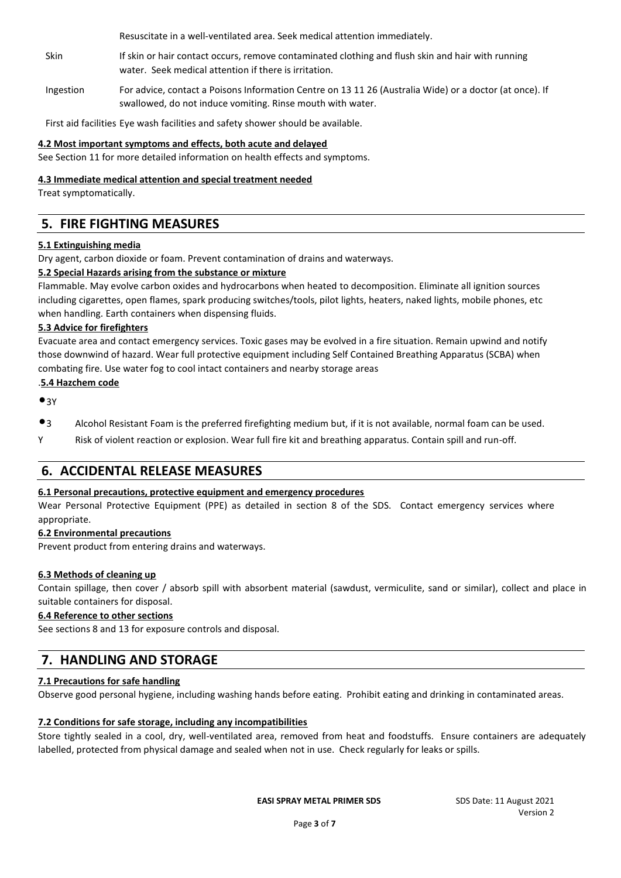Resuscitate in a well-ventilated area. Seek medical attention immediately.

- Skin If skin or hair contact occurs, remove contaminated clothing and flush skin and hair with running water. Seek medical attention if there is irritation.
- Ingestion For advice, contact a Poisons Information Centre on 13 11 26 (Australia Wide) or a doctor (at once). If swallowed, do not induce vomiting. Rinse mouth with water.

First aid facilities Eye wash facilities and safety shower should be available.

### **4.2 Most important symptoms and effects, both acute and delayed**

See Section 11 for more detailed information on health effects and symptoms.

#### **4.3 Immediate medical attention and special treatment needed**

Treat symptomatically.

# **5. FIRE FIGHTING MEASURES**

#### **5.1 Extinguishing media**

Dry agent, carbon dioxide or foam. Prevent contamination of drains and waterways.

### **5.2 Special Hazards arising from the substance or mixture**

Flammable. May evolve carbon oxides and hydrocarbons when heated to decomposition. Eliminate all ignition sources including cigarettes, open flames, spark producing switches/tools, pilot lights, heaters, naked lights, mobile phones, etc when handling. Earth containers when dispensing fluids.

#### **5.3 Advice for firefighters**

Evacuate area and contact emergency services. Toxic gases may be evolved in a fire situation. Remain upwind and notify those downwind of hazard. Wear full protective equipment including Self Contained Breathing Apparatus (SCBA) when combating fire. Use water fog to cool intact containers and nearby storage areas

#### .**5.4 Hazchem code**

 $•3Y$ 

- •<sup>3</sup> Alcohol Resistant Foam is the preferred firefighting medium but, if it is not available, normal foam can be used.
- Y Risk of violent reaction or explosion. Wear full fire kit and breathing apparatus. Contain spill and run-off.

## **6. ACCIDENTAL RELEASE MEASURES**

### **6.1 Personal precautions, protective equipment and emergency procedures**

Wear Personal Protective Equipment (PPE) as detailed in section 8 of the SDS. Contact emergency services where appropriate.

### **6.2 Environmental precautions**

Prevent product from entering drains and waterways.

### **6.3 Methods of cleaning up**

Contain spillage, then cover / absorb spill with absorbent material (sawdust, vermiculite, sand or similar), collect and place in suitable containers for disposal.

### **6.4 Reference to other sections**

See sections 8 and 13 for exposure controls and disposal.

# **7. HANDLING AND STORAGE**

### **7.1 Precautions for safe handling**

Observe good personal hygiene, including washing hands before eating. Prohibit eating and drinking in contaminated areas.

### **7.2 Conditions for safe storage, including any incompatibilities**

Store tightly sealed in a cool, dry, well-ventilated area, removed from heat and foodstuffs. Ensure containers are adequately labelled, protected from physical damage and sealed when not in use. Check regularly for leaks or spills.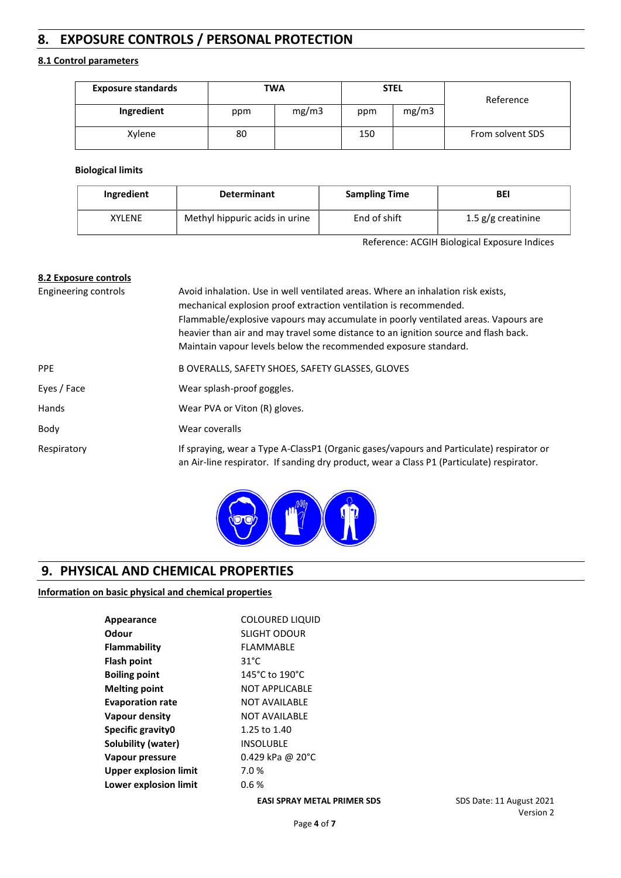# **8. EXPOSURE CONTROLS / PERSONAL PROTECTION**

#### **8.1 Control parameters**

| <b>Exposure standards</b> | TWA |       |     | <b>STEL</b> | Reference        |
|---------------------------|-----|-------|-----|-------------|------------------|
| Ingredient                | ppm | mg/m3 | ppm | mg/m3       |                  |
| Xylene                    | 80  |       | 150 |             | From solvent SDS |

#### **Biological limits**

| Ingredient    | <b>Determinant</b>             | <b>Sampling Time</b> | BEI                  |
|---------------|--------------------------------|----------------------|----------------------|
| <b>XYLENE</b> | Methyl hippuric acids in urine | End of shift         | 1.5 $g/g$ creatinine |

Reference: ACGIH Biological Exposure Indices

| 8.2 Exposure controls |                                                                                                                                                                                                                                                                                                                                                                                                       |
|-----------------------|-------------------------------------------------------------------------------------------------------------------------------------------------------------------------------------------------------------------------------------------------------------------------------------------------------------------------------------------------------------------------------------------------------|
| Engineering controls  | Avoid inhalation. Use in well ventilated areas. Where an inhalation risk exists,<br>mechanical explosion proof extraction ventilation is recommended.<br>Flammable/explosive vapours may accumulate in poorly ventilated areas. Vapours are<br>heavier than air and may travel some distance to an ignition source and flash back.<br>Maintain vapour levels below the recommended exposure standard. |
| <b>PPE</b>            | B OVERALLS, SAFETY SHOES, SAFETY GLASSES, GLOVES                                                                                                                                                                                                                                                                                                                                                      |
| Eyes / Face           | Wear splash-proof goggles.                                                                                                                                                                                                                                                                                                                                                                            |
| <b>Hands</b>          | Wear PVA or Viton (R) gloves.                                                                                                                                                                                                                                                                                                                                                                         |
| Body                  | Wear coveralls                                                                                                                                                                                                                                                                                                                                                                                        |
| Respiratory           | If spraying, wear a Type A-ClassP1 (Organic gases/vapours and Particulate) respirator or<br>an Air-line respirator. If sanding dry product, wear a Class P1 (Particulate) respirator.                                                                                                                                                                                                                 |



# **9. PHYSICAL AND CHEMICAL PROPERTIES**

### **Information on basic physical and chemical properties**

| Appearance                   | <b>COLOURED LIQUID</b>      |
|------------------------------|-----------------------------|
| Odour                        | <b>SLIGHT ODOUR</b>         |
| Flammability                 | FLAMMABLE                   |
| Flash point                  | $31^{\circ}$ C              |
| <b>Boiling point</b>         | 145°C to 190°C              |
| <b>Melting point</b>         | <b>NOT APPLICABLE</b>       |
| <b>Evaporation rate</b>      | NOT AVAILABLF               |
| Vapour density               | <b>NOT AVAILABLE</b>        |
| Specific gravity0            | 1.25 to 1.40                |
| Solubility (water)           | <b>INSOLUBLE</b>            |
| Vapour pressure              | 0.429 kPa @ 20 $^{\circ}$ C |
| <b>Upper explosion limit</b> | 7.0%                        |
| Lower explosion limit        | 0.6 %                       |
|                              |                             |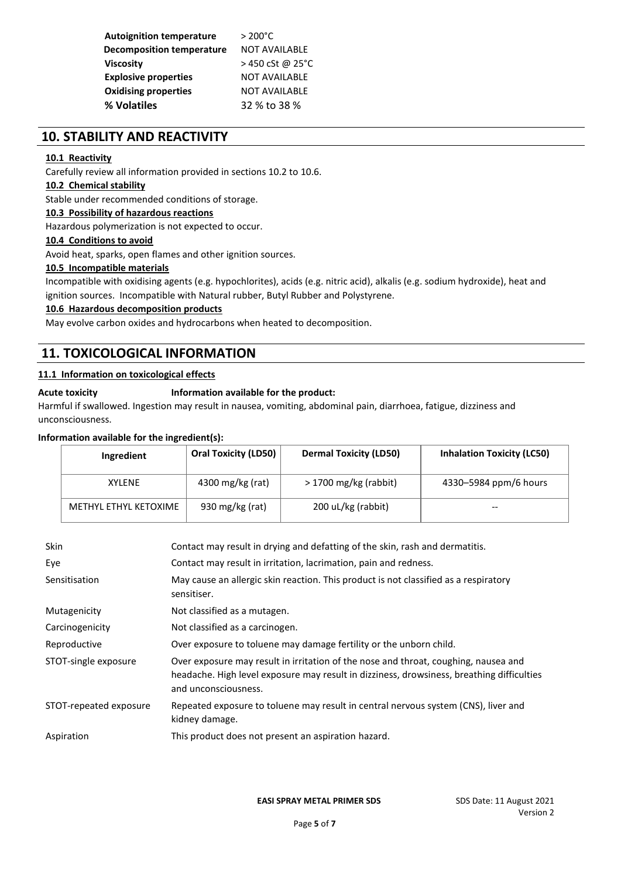| <b>Autoignition temperature</b>  | $> 200^{\circ}$ C    |
|----------------------------------|----------------------|
| <b>Decomposition temperature</b> | <b>NOT AVAILABLE</b> |
| <b>Viscosity</b>                 | >450 cSt @ 25°C      |
| <b>Explosive properties</b>      | <b>NOT AVAILABLE</b> |
| <b>Oxidising properties</b>      | <b>NOT AVAILABLE</b> |
| % Volatiles                      | 32 % to 38 %         |

## **10. STABILITY AND REACTIVITY**

#### **10.1 Reactivity**

Carefully review all information provided in sections 10.2 to 10.6.

#### **10.2 Chemical stability**

Stable under recommended conditions of storage.

#### **10.3 Possibility of hazardous reactions**

Hazardous polymerization is not expected to occur.

#### **10.4 Conditions to avoid**

Avoid heat, sparks, open flames and other ignition sources.

#### **10.5 Incompatible materials**

Incompatible with oxidising agents (e.g. hypochlorites), acids (e.g. nitric acid), alkalis (e.g. sodium hydroxide), heat and ignition sources. Incompatible with Natural rubber, Butyl Rubber and Polystyrene.

**10.6 Hazardous decomposition products**

May evolve carbon oxides and hydrocarbons when heated to decomposition.

# **11. TOXICOLOGICAL INFORMATION**

#### **11.1 Information on toxicological effects**

#### **Acute toxicity Information available for the product:**

Harmful if swallowed. Ingestion may result in nausea, vomiting, abdominal pain, diarrhoea, fatigue, dizziness and unconsciousness.

#### **Information available for the ingredient(s):**

| Ingredient            | <b>Oral Toxicity (LD50)</b> | <b>Dermal Toxicity (LD50)</b> | <b>Inhalation Toxicity (LC50)</b> |
|-----------------------|-----------------------------|-------------------------------|-----------------------------------|
| <b>XYLENE</b>         | 4300 mg/kg (rat)            | $>$ 1700 mg/kg (rabbit)       | 4330-5984 ppm/6 hours             |
| METHYL ETHYL KETOXIME | 930 mg/kg (rat)             | 200 uL/kg (rabbit)            | $- -$                             |

| <b>Skin</b>            | Contact may result in drying and defatting of the skin, rash and dermatitis.                                                                                                                             |
|------------------------|----------------------------------------------------------------------------------------------------------------------------------------------------------------------------------------------------------|
| Eye                    | Contact may result in irritation, lacrimation, pain and redness.                                                                                                                                         |
| Sensitisation          | May cause an allergic skin reaction. This product is not classified as a respiratory<br>sensitiser.                                                                                                      |
| Mutagenicity           | Not classified as a mutagen.                                                                                                                                                                             |
| Carcinogenicity        | Not classified as a carcinogen.                                                                                                                                                                          |
| Reproductive           | Over exposure to toluene may damage fertility or the unborn child.                                                                                                                                       |
| STOT-single exposure   | Over exposure may result in irritation of the nose and throat, coughing, nausea and<br>headache. High level exposure may result in dizziness, drowsiness, breathing difficulties<br>and unconsciousness. |
| STOT-repeated exposure | Repeated exposure to toluene may result in central nervous system (CNS), liver and<br>kidney damage.                                                                                                     |
| Aspiration             | This product does not present an aspiration hazard.                                                                                                                                                      |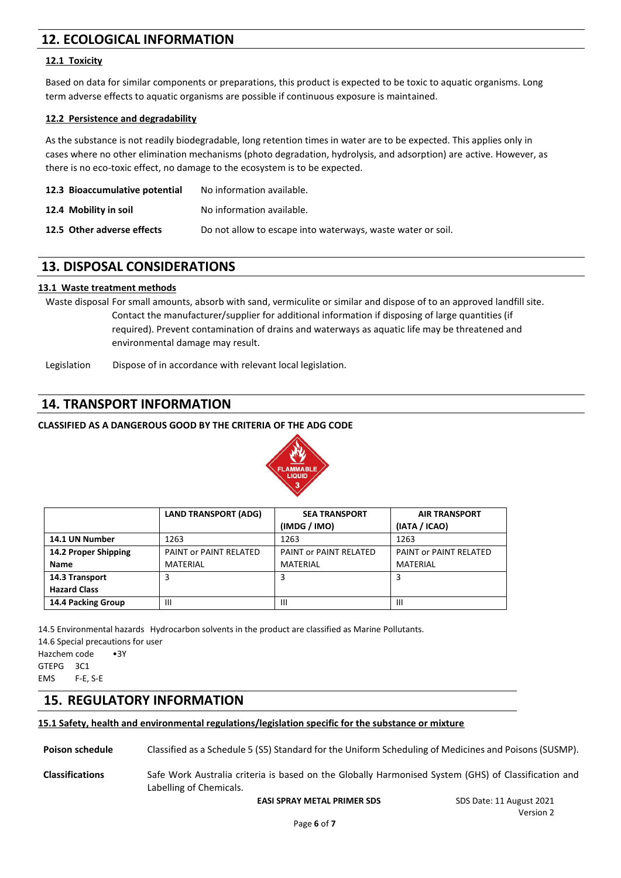# **12. ECOLOGICAL INFORMATION**

#### **12.1 Toxicity**

Based on data for similar components or preparations, this product is expected to be toxic to aquatic organisms. Long term adverse effects to aquatic organisms are possible if continuous exposure is maintained.

#### **12.2 Persistence and degradability**

As the substance is not readily biodegradable, long retention times in water are to be expected. This applies only in cases where no other elimination mechanisms (photo degradation, hydrolysis, and adsorption) are active. However, as there is no eco-toxic effect, no damage to the ecosystem is to be expected.

| 12.3 Bioaccumulative potential | No information available.                                   |
|--------------------------------|-------------------------------------------------------------|
| 12.4 Mobility in soil          | No information available.                                   |
| 12.5 Other adverse effects     | Do not allow to escape into waterways, waste water or soil. |

## **13. DISPOSAL CONSIDERATIONS**

#### **13.1 Waste treatment methods**

Waste disposal For small amounts, absorb with sand, vermiculite or similar and dispose of to an approved landfill site. Contact the manufacturer/supplier for additional information if disposing of large quantities (if required). Prevent contamination of drains and waterways as aquatic life may be threatened and environmental damage may result.

Legislation Dispose of in accordance with relevant local legislation.

## **14. TRANSPORT INFORMATION**

#### **CLASSIFIED AS A DANGEROUS GOOD BY THE CRITERIA OF THE ADG CODE**



|                      | <b>LAND TRANSPORT (ADG)</b> | <b>SEA TRANSPORT</b>   | <b>AIR TRANSPORT</b>   |
|----------------------|-----------------------------|------------------------|------------------------|
|                      |                             | (IMDG / IMO)           | (IATA / ICAO)          |
| 14.1 UN Number       | 1263                        | 1263                   | 1263                   |
| 14.2 Proper Shipping | PAINT OF PAINT RELATED      | PAINT or PAINT RELATED | PAINT or PAINT RELATED |
| <b>Name</b>          | <b>MATERIAL</b>             | MATERIAL               | MATERIAL               |
| 14.3 Transport       |                             | 3                      |                        |
| <b>Hazard Class</b>  |                             |                        |                        |
| 14.4 Packing Group   | Ш                           | Ш                      | Ш                      |

14.5 Environmental hazards Hydrocarbon solvents in the product are classified as Marine Pollutants. 14.6 Special precautions for user Hazchem code •3Y GTEPG 3C1 EMS F-E, S-E

## **15. REGULATORY INFORMATION**

#### **15.1 Safety, health and environmental regulations/legislation specific for the substance or mixture**

**Poison schedule** Classified as a Schedule 5 (S5) Standard for the Uniform Scheduling of Medicines and Poisons (SUSMP).

**Classifications** Safe Work Australia criteria is based on the Globally Harmonised System (GHS) of Classification and Labelling of Chemicals.

**EASI SPRAY METAL PRIMER SDS** SDS Date: 11 August 2021

Version 2